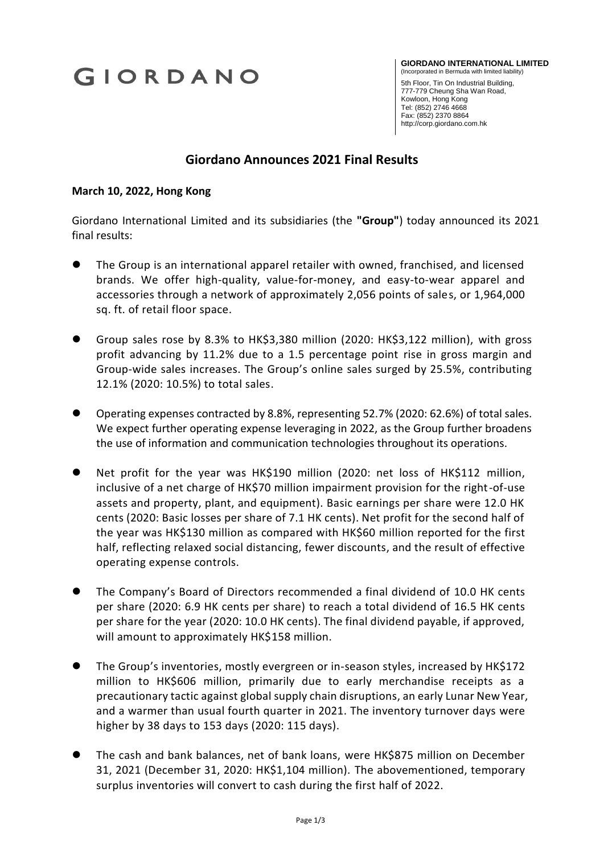# GIORDANO

**GIORDANO INTERNATIONAL LIMITED** (Incorporated in Bermuda with limited liability)

 5th Floor, Tin On Industrial Building, 777-779 Cheung Sha Wan Road, Kowloon, Hong Kong Tel: (852) 2746 4668 Fax: (852) 2370 8864 http://corp.giordano.com.hk

## **Giordano Announces 2021 Final Results**

#### **March 10, 2022, Hong Kong**

Giordano International Limited and its subsidiaries (the **"Group"**) today announced its 2021 final results:

- The Group is an international apparel retailer with owned, franchised, and licensed brands. We offer high-quality, value-for-money, and easy-to-wear apparel and accessories through a network of approximately 2,056 points of sales, or 1,964,000 sq. ft. of retail floor space.
- Group sales rose by 8.3% to HK\$3,380 million (2020: HK\$3,122 million), with gross profit advancing by 11.2% due to a 1.5 percentage point rise in gross margin and Group-wide sales increases. The Group's online sales surged by 25.5%, contributing 12.1% (2020: 10.5%) to total sales.
- Operating expenses contracted by 8.8%, representing 52.7% (2020: 62.6%) of total sales. We expect further operating expense leveraging in 2022, as the Group further broadens the use of information and communication technologies throughout its operations.
- Net profit for the year was HK\$190 million (2020: net loss of HK\$112 million, inclusive of a net charge of HK\$70 million impairment provision for the right-of-use assets and property, plant, and equipment). Basic earnings per share were 12.0 HK cents (2020: Basic losses per share of 7.1 HK cents). Net profit for the second half of the year was HK\$130 million as compared with HK\$60 million reported for the first half, reflecting relaxed social distancing, fewer discounts, and the result of effective operating expense controls.
- The Company's Board of Directors recommended a final dividend of 10.0 HK cents per share (2020: 6.9 HK cents per share) to reach a total dividend of 16.5 HK cents per share for the year (2020: 10.0 HK cents). The final dividend payable, if approved, will amount to approximately HK\$158 million.
- The Group's inventories, mostly evergreen or in-season styles, increased by HK\$172 million to HK\$606 million, primarily due to early merchandise receipts as a precautionary tactic against global supply chain disruptions, an early Lunar New Year, and a warmer than usual fourth quarter in 2021. The inventory turnover days were higher by 38 days to 153 days (2020: 115 days).
- The cash and bank balances, net of bank loans, were HK\$875 million on December 31, 2021 (December 31, 2020: HK\$1,104 million). The abovementioned, temporary surplus inventories will convert to cash during the first half of 2022.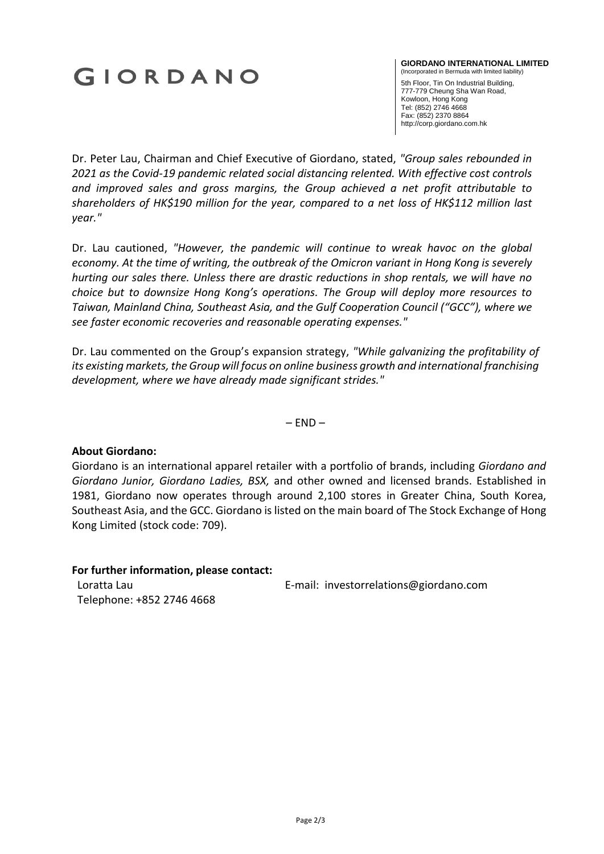# GIORDANO

#### **GIORDANO INTERNATIONAL LIMITED** (Incorporated in Bermuda with limited liability)

 5th Floor, Tin On Industrial Building, 777-779 Cheung Sha Wan Road, Kowloon, Hong Kong Tel: (852) 2746 4668 Fax: (852) 2370 8864 http://corp.giordano.com.hk

Dr. Peter Lau, Chairman and Chief Executive of Giordano, stated, *"Group sales rebounded in 2021 as the Covid-19 pandemic related social distancing relented. With effective cost controls and improved sales and gross margins, the Group achieved a net profit attributable to shareholders of HK\$190 million for the year, compared to a net loss of HK\$112 million last year."*

Dr. Lau cautioned, *"However, the pandemic will continue to wreak havoc on the global economy. At the time of writing, the outbreak of the Omicron variant in Hong Kong is severely hurting our sales there. Unless there are drastic reductions in shop rentals, we will have no choice but to downsize Hong Kong's operations. The Group will deploy more resources to Taiwan, Mainland China, Southeast Asia, and the Gulf Cooperation Council ("GCC"), where we see faster economic recoveries and reasonable operating expenses."*

Dr. Lau commented on the Group's expansion strategy, *"While galvanizing the profitability of its existing markets, the Group will focus on online business growth and international franchising development, where we have already made significant strides."*

 $-$  END  $-$ 

### **About Giordano:**

Giordano is an international apparel retailer with a portfolio of brands, including *Giordano and Giordano Junior, Giordano Ladies, BSX,* and other owned and licensed brands. Established in 1981, Giordano now operates through around 2,100 stores in Greater China, South Korea, Southeast Asia, and the GCC. Giordano is listed on the main board of The Stock Exchange of Hong Kong Limited (stock code: 709).

### **For further information, please contact:**

E-mail: investorrelations@giordano.com

Loratta Lau Telephone: +852 2746 4668